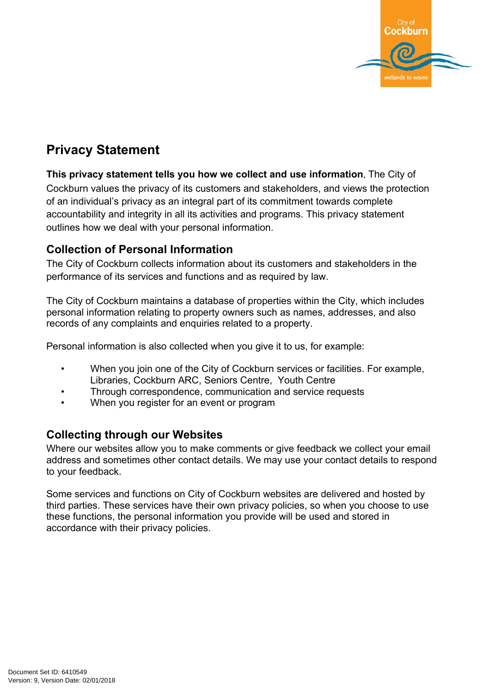

# **Privacy Statement**

**This privacy statement tells you how we collect and use information.** The City of Cockburn values the privacy of its customers and stakeholders, and views the protection of an individual's privacy as an integral part of its commitment towards complete accountability and integrity in all its activities and programs. This privacy statement outlines how we deal with your personal information.

## **Collection of Personal Information**

The City of Cockburn collects information about its customers and stakeholders in the performance of its services and functions and as required by law.

The City of Cockburn maintains a database of properties within the City, which includes personal information relating to property owners such as names, addresses, and also records of any complaints and enquiries related to a property.

Personal information is also collected when you give it to us, for example:

- When you join one of the City of Cockburn services or facilities. For example, Libraries, Cockburn ARC, Seniors Centre, Youth Centre
- Through correspondence, communication and service requests
- When you register for an event or program

## **Collecting through our Websites**

Where our websites allow you to make comments or give feedback we collect your email address and sometimes other contact details. We may use your contact details to respond to your feedback.

Some services and functions on City of Cockburn websites are delivered and hosted by third parties. These services have their own privacy policies, so when you choose to use these functions, the personal information you provide will be used and stored in accordance with their privacy policies.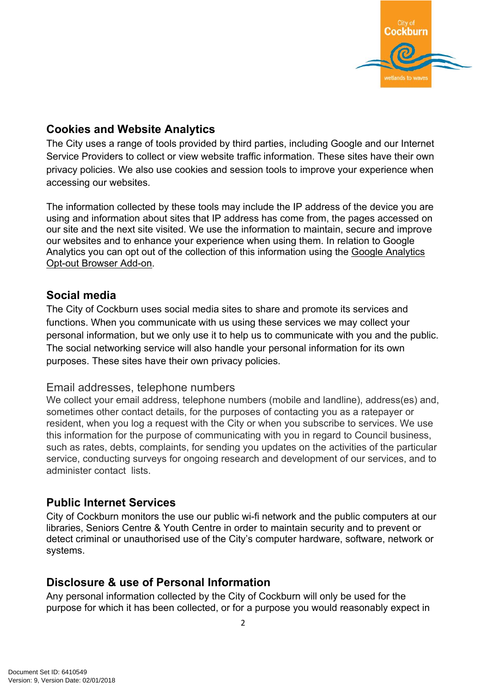

## **Cookies and Website Analytics**

The City uses a range of tools provided by third parties, including Google and our Internet Service Providers to collect or view website traffic information. These sites have their own privacy policies. We also use cookies and session tools to improve your experience when accessing our websites.

The information collected by these tools may include the IP address of the device you are using and information about sites that IP address has come from, the pages accessed on our site and the next site visited. We use the information to maintain, secure and improve our websites and to enhance your experience when using them. In relation to Google Analytics you can opt out of the collection of this information using the Google [Analytics](https://tools.google.com/dlpage/gaoptout?hl=en-GB) Opt-out [Browser](https://tools.google.com/dlpage/gaoptout?hl=en-GB) Add-on.

## **Social media**

The City of Cockburn uses social media sites to share and promote its services and functions. When you communicate with us using these services we may collect your personal information, but we only use it to help us to communicate with you and the public. The social networking service will also handle your personal information for its own purposes. These sites have their own privacy policies.

#### Email addresses, telephone numbers

We collect your email address, telephone numbers (mobile and landline), address(es) and, sometimes other contact details, for the purposes of contacting you as a ratepayer or resident, when you log a request with the City or when you subscribe to services. We use this information for the purpose of communicating with you in regard to Council business, such as rates, debts, complaints, for sending you updates on the activities of the particular service, conducting surveys for ongoing research and development of our services, and to administer contact lists.

# **Public Internet Services**

City of Cockburn monitors the use our public wi-fi network and the public computers at our libraries, Seniors Centre & Youth Centre in order to maintain security and to prevent or detect criminal or unauthorised use of the City's computer hardware, software, network or systems.

## **Disclosure & use of Personal Information**

Any personal information collected by the City of Cockburn will only be used for the purpose for which it has been collected, or for a purpose you would reasonably expect in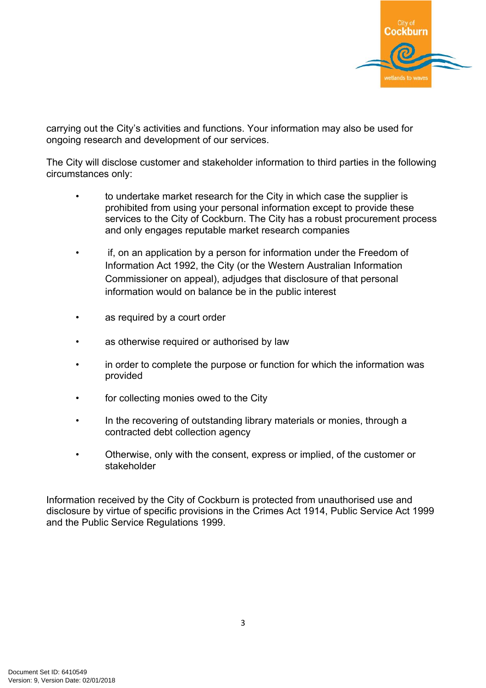

carrying out the City's activities and functions. Your information may also be used for ongoing research and development of our services.

The City will disclose customer and stakeholder information to third parties in the following circumstances only:

- to undertake market research for the City in which case the supplier is prohibited from using your personal information except to provide these services to the City of Cockburn. The City has a robust procurement process and only engages reputable market research companies
- if, on an application by a person for information under the Freedom of Information Act 1992, the City (or the Western Australian Information Commissioner on appeal), adjudges that disclosure of that personal information would on balance be in the public interest
- as required by a court order
- as otherwise required or authorised by law
- in order to complete the purpose or function for which the information was provided
- for collecting monies owed to the City
- In the recovering of outstanding library materials or monies, through a contracted debt collection agency
- Otherwise, only with the consent, express or implied, of the customer or stakeholder

Information received by the City of Cockburn is protected from unauthorised use and disclosure by virtue of specific provisions in the Crimes Act 1914, Public Service Act 1999 and the Public Service Regulations 1999.